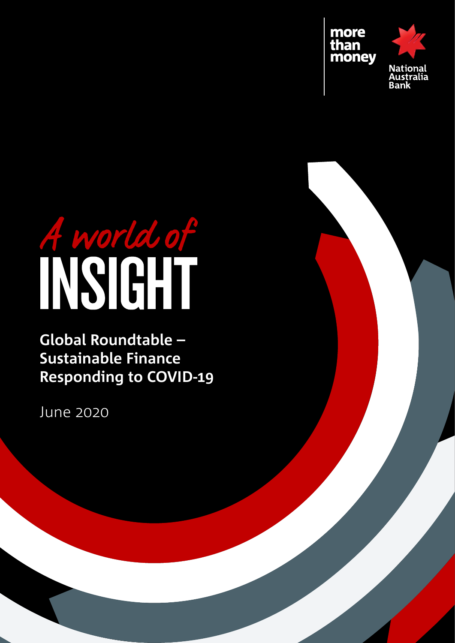

# A world of

# **Global Roundtable – Sustainable Finance Responding to COVID-19**

June 2020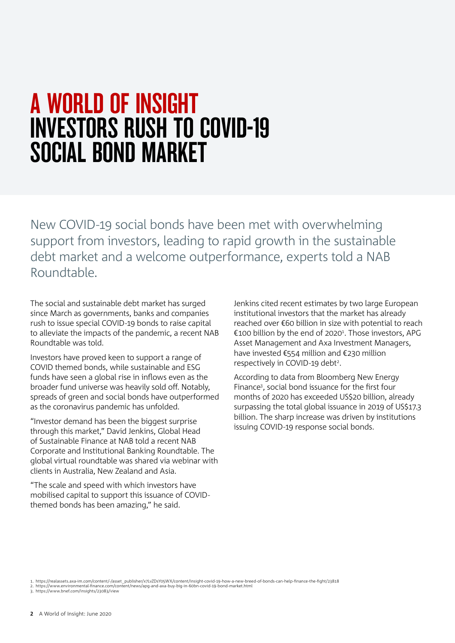# A WORLD OF INSIGHT INVESTORS RUSH TO COVID-19 SOCIAL BOND MARKET

New COVID-19 social bonds have been met with overwhelming support from investors, leading to rapid growth in the sustainable debt market and a welcome outperformance, experts told a NAB Roundtable.

The social and sustainable debt market has surged since March as governments, banks and companies rush to issue special COVID-19 bonds to raise capital to alleviate the impacts of the pandemic, a recent NAB Roundtable was told.

Investors have proved keen to support a range of COVID themed bonds, while sustainable and ESG funds have seen a global rise in inflows even as the broader fund universe was heavily sold off. Notably, spreads of green and social bonds have outperformed as the coronavirus pandemic has unfolded.

"Investor demand has been the biggest surprise through this market," David Jenkins, Global Head of Sustainable Finance at NAB told a recent NAB Corporate and Institutional Banking Roundtable. The global virtual roundtable was shared via webinar with clients in Australia, New Zealand and Asia.

"The scale and speed with which investors have mobilised capital to support this issuance of COVIDthemed bonds has been amazing," he said.

Jenkins cited recent estimates by two large European institutional investors that the market has already reached over €60 billion in size with potential to reach €100 billion by the end of 2020<sup>1</sup>. Those investors, APG Asset Management and Axa Investment Managers, have invested €554 million and €230 million respectively in COVID-19 debt<sup>2</sup>.

According to data from Bloomberg New Energy Finance<sup>3</sup>, social bond issuance for the first four months of 2020 has exceeded US\$20 billion, already surpassing the total global issuance in 2019 of US\$17.3 billion. The sharp increase was driven by institutions issuing COVID-19 response social bonds.

1. https://realassets.axa-im.com/content/-/asset\_publisher/x7LvZDsY05WX/content/insight-covid-19-how-a-new-breed-of-bonds-can-help-finance-the-fight/23818 2. https://www.environmental-finance.com/content/news/apg-and-axa-buy-big-in-60bn-covid-19-bond-market.html

3. https://www.bnef.com/insights/23083/view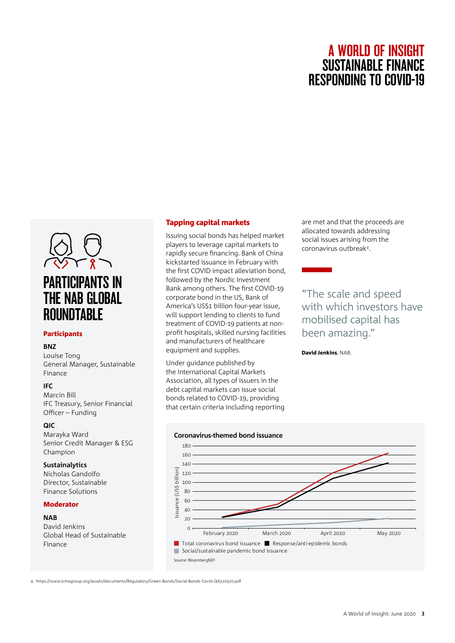

### Participants

# **BNZ**

Louise Tong General Manager, Sustainable Finance

# **IFC**

Marcin Bill IFC Treasury, Senior Financial Officer – Funding

# **QIC**

Marayka Ward Senior Credit Manager & ESG Champion

# **Sustainalytics**

Nicholas Gandolfo Director, Sustainable Finance Solutions

# Moderator

# **NAB**

David Jenkins Global Head of Sustainable Finance

# Tapping capital markets

Issuing social bonds has helped market players to leverage capital markets to rapidly secure financing. Bank of China kickstarted issuance in February with the first COVID impact alleviation bond, followed by the Nordic Investment Bank among others. The first COVID-19 corporate bond in the US, Bank of America's US\$1 billion four-year issue, will support lending to clients to fund treatment of COVID-19 patients at nonprofit hospitals, skilled nursing facilities and manufacturers of healthcare equipment and supplies.

Under guidance published by the International Capital Markets Association, all types of issuers in the debt capital markets can issue social bonds related to COVID-19, providing that certain criteria including reporting are met and that the proceeds are allocated towards addressing social issues arising from the coronavirus outbreak4.

"The scale and speed with which investors have mobilised capital has been amazing."

David Jenkins, NAB.



4. https://www.icmagroup.org/assets/documents/Regulatory/Green-Bonds/Social-Bonds-Covid-QA310320.pdf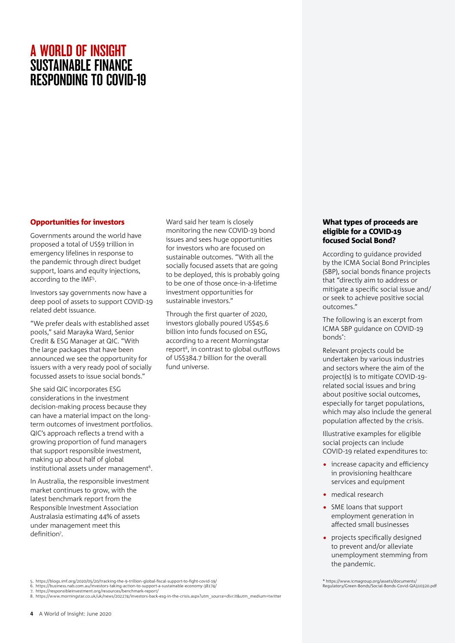# Opportunities for investors

Governments around the world have proposed a total of US\$9 trillion in emergency lifelines in response to the pandemic through direct budget support, loans and equity injections, according to the IMF5 .

Investors say governments now have a deep pool of assets to support COVID-19 related debt issuance.

"We prefer deals with established asset pools," said Marayka Ward, Senior Credit & ESG Manager at QIC. "With the large packages that have been announced we see the opportunity for issuers with a very ready pool of socially focussed assets to issue social bonds."

She said QIC incorporates ESG considerations in the investment decision-making process because they can have a material impact on the longterm outcomes of investment portfolios. QIC's approach reflects a trend with a growing proportion of fund managers that support responsible investment, making up about half of global institutional assets under management<sup>6</sup>.

In Australia, the responsible investment market continues to grow, with the latest benchmark report from the Responsible Investment Association Australasia estimating 44% of assets under management meet this definition<sup>7</sup>.

Ward said her team is closely monitoring the new COVID-19 bond issues and sees huge opportunities for investors who are focused on sustainable outcomes. "With all the socially focused assets that are going to be deployed, this is probably going to be one of those once-in-a-lifetime investment opportunities for sustainable investors."

Through the first quarter of 2020, investors globally poured US\$45.6 billion into funds focused on ESG, according to a recent Morningstar report<sup>8</sup>, in contrast to global outflows of US\$384.7 billion for the overall fund universe.

# What types of proceeds are eligible for a COVID-19 focused Social Bond?

According to guidance provided by the ICMA Social Bond Principles (SBP), social bonds finance projects that "directly aim to address or mitigate a specific social issue and/ or seek to achieve positive social outcomes."

The following is an excerpt from ICMA SBP guidance on COVID-19 bonds\* :

Relevant projects could be undertaken by various industries and sectors where the aim of the project(s) is to mitigate COVID-19 related social issues and bring about positive social outcomes, especially for target populations, which may also include the general population affected by the crisis.

Illustrative examples for eligible social projects can include COVID-19 related expenditures to:

- increase capacity and efficiency in provisioning healthcare services and equipment
- medical research
- SME loans that support employment generation in affected small businesses
- projects specifically designed to prevent and/or alleviate unemployment stemming from the pandemic.

\* https://www.icmagroup.org/assets/documents/ Regulatory/Green-Bonds/Social-Bonds-Covid-QA310320.pdf

<sup>5.</sup> https://blogs.imf.org/2020/05/20/tracking-the-9-trillion-global-fiscal-support-to-fight-covid-19/<br>6. https://business.nab.com.au/investors-taking-action-to-support-a-sustainable-economy-38174/<br>7. https://ersponsibleinve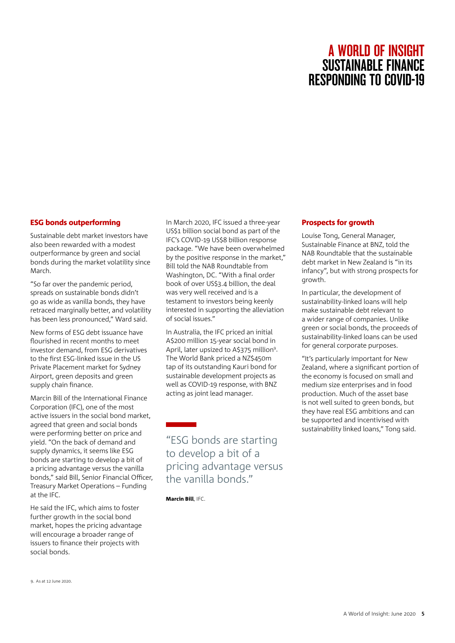# ESG bonds outperforming

Sustainable debt market investors have also been rewarded with a modest outperformance by green and social bonds during the market volatility since March.

"So far over the pandemic period, spreads on sustainable bonds didn't go as wide as vanilla bonds, they have retraced marginally better, and volatility has been less pronounced," Ward said.

New forms of ESG debt issuance have flourished in recent months to meet investor demand, from ESG derivatives to the first ESG-linked issue in the US Private Placement market for Sydney Airport, green deposits and green supply chain finance.

Marcin Bill of the International Finance Corporation (IFC), one of the most active issuers in the social bond market, agreed that green and social bonds were performing better on price and yield. "On the back of demand and supply dynamics, it seems like ESG bonds are starting to develop a bit of a pricing advantage versus the vanilla bonds," said Bill, Senior Financial Officer, Treasury Market Operations – Funding at the IFC.

He said the IFC, which aims to foster further growth in the social bond market, hopes the pricing advantage will encourage a broader range of issuers to finance their projects with social bonds.

In March 2020, IFC issued a three-year US\$1 billion social bond as part of the IFC's COVID-19 US\$8 billion response package. "We have been overwhelmed by the positive response in the market," Bill told the NAB Roundtable from Washington, DC. "With a final order book of over US\$3.4 billion, the deal was very well received and is a testament to investors being keenly interested in supporting the alleviation of social issues."

In Australia, the IFC priced an initial A\$200 million 15-year social bond in April, later upsized to A\$375 million<sup>9</sup>. The World Bank priced a NZ\$450m tap of its outstanding Kauri bond for sustainable development projects as well as COVID-19 response, with BNZ acting as joint lead manager.

"ESG bonds are starting to develop a bit of a pricing advantage versus the vanilla bonds."

Marcin Bill, IFC.

# Prospects for growth

Louise Tong, General Manager, Sustainable Finance at BNZ, told the NAB Roundtable that the sustainable debt market in New Zealand is "in its infancy", but with strong prospects for growth.

In particular, the development of sustainability-linked loans will help make sustainable debt relevant to a wider range of companies. Unlike green or social bonds, the proceeds of sustainability-linked loans can be used for general corporate purposes.

"It's particularly important for New Zealand, where a significant portion of the economy is focused on small and medium size enterprises and in food production. Much of the asset base is not well suited to green bonds, but they have real ESG ambitions and can be supported and incentivised with sustainability linked loans," Tong said.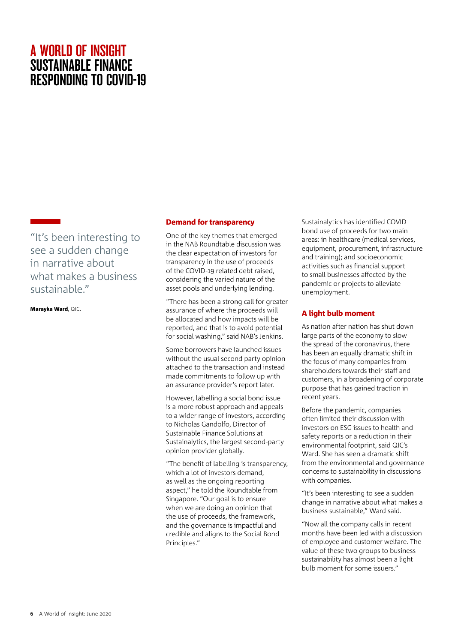"It's been interesting to see a sudden change in narrative about what makes a business sustainable."

Marayka Ward, QIC.

# Demand for transparency

One of the key themes that emerged in the NAB Roundtable discussion was the clear expectation of investors for transparency in the use of proceeds of the COVID-19 related debt raised, considering the varied nature of the asset pools and underlying lending.

"There has been a strong call for greater assurance of where the proceeds will be allocated and how impacts will be reported, and that is to avoid potential for social washing," said NAB's Jenkins.

Some borrowers have launched issues without the usual second party opinion attached to the transaction and instead made commitments to follow up with an assurance provider's report later.

However, labelling a social bond issue is a more robust approach and appeals to a wider range of investors, according to Nicholas Gandolfo, Director of Sustainable Finance Solutions at Sustainalytics, the largest second-party opinion provider globally.

"The benefit of labelling is transparency, which a lot of investors demand, as well as the ongoing reporting aspect," he told the Roundtable from Singapore. "Our goal is to ensure when we are doing an opinion that the use of proceeds, the framework, and the governance is impactful and credible and aligns to the Social Bond Principles."

Sustainalytics has identified COVID bond use of proceeds for two main areas: in healthcare (medical services, equipment, procurement, infrastructure and training); and socioeconomic activities such as financial support to small businesses affected by the pandemic or projects to alleviate unemployment.

# A light bulb moment

As nation after nation has shut down large parts of the economy to slow the spread of the coronavirus, there has been an equally dramatic shift in the focus of many companies from shareholders towards their staff and customers, in a broadening of corporate purpose that has gained traction in recent years.

Before the pandemic, companies often limited their discussion with investors on ESG issues to health and safety reports or a reduction in their environmental footprint, said QIC's Ward. She has seen a dramatic shift from the environmental and governance concerns to sustainability in discussions with companies.

"It's been interesting to see a sudden change in narrative about what makes a business sustainable," Ward said.

"Now all the company calls in recent months have been led with a discussion of employee and customer welfare. The value of these two groups to business sustainability has almost been a light bulb moment for some issuers."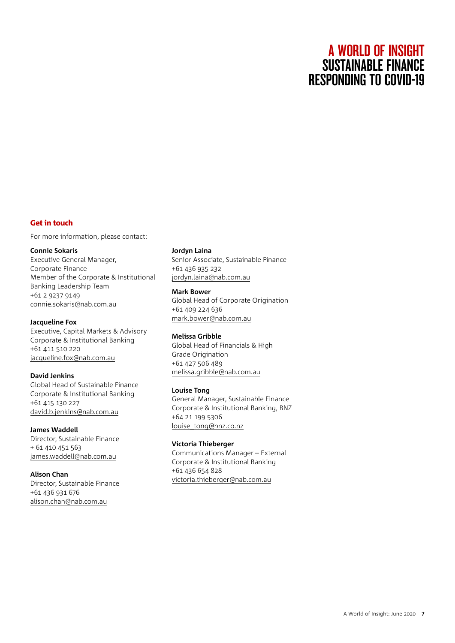# Get in touch

For more information, please contact:

### **Connie Sokaris**

Executive General Manager, Corporate Finance Member of the Corporate & Institutional Banking Leadership Team +61 2 9237 9149 [connie.sokaris@nab.com.au](mailto:connie.sokaris%40nab.com.au?subject=)

### **Jacqueline Fox**

Executive, Capital Markets & Advisory Corporate & Institutional Banking +61 411 510 220 [jacqueline.fox@nab.com.au](mailto:jacqueline.fox@nab.com.au)

# **David Jenkins**

Global Head of Sustainable Finance Corporate & Institutional Banking +61 415 130 227 [david.b.jenkins@nab.com.au](mailto:david.b.jenkins@nab.com.au)

# **James Waddell** Director, Sustainable Finance + 61 410 451 563 [james.waddell@nab.com.au](mailto:james.waddell@nab.com.au)

# **Alison Chan**

Director, Sustainable Finance +61 436 931 676 [alison.chan@nab.com.au](mailto:alison.chan@nab.com.au)

### **Jordyn Laina**

Senior Associate, Sustainable Finance +61 436 935 232 [jordyn.laina@nab.com.au](mailto:jordyn.laina%40nab.com.au?subject=)

### **Mark Bower**

Global Head of Corporate Origination +61 409 224 636 [mark.bower@nab.com.au](mailto:mark.bower%40nab.com.au?subject=)

# **Melissa Gribble**

Global Head of Financials & High Grade Origination +61 427 506 489 [melissa.gribble@nab.com.au](mailto:melissa.gribble%40nab.com.au?subject=)

# **Louise Tong**

General Manager, Sustainable Finance Corporate & Institutional Banking, BNZ +64 21 199 5306 [louise\\_tong@bnz.co.nz](mailto:louise_tong%40bnz.co.nz?subject=)

# **Victoria Thieberger**

Communications Manager – External Corporate & Institutional Banking +61 436 654 828 [victoria.thieberger@nab.com.au](mailto:victoria.thieberger@nab.com.au)